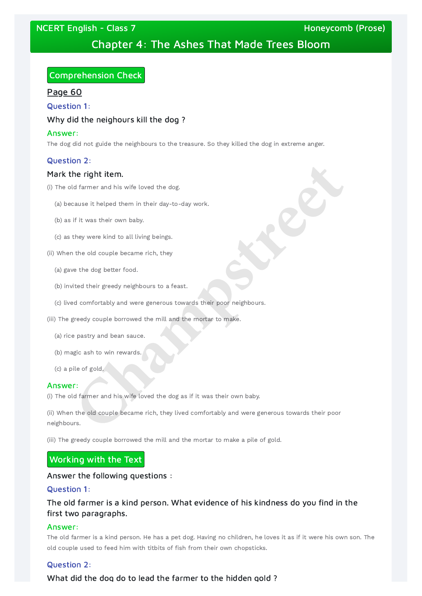NCERT English - Class 7 November 2012 19:00 November 2013 19:00 Honeycomb (Prose)

# Chapter 4: The Ashes That Made Trees Bloom

# Comprehension Check

Page 60

Question 1:

# Why did the neighours kill the dog ?

## Answer:

The dog did not guide the neighbours to the treasure. So they killed the dog in extreme anger.

# Question 2:

# Mark the right item.

(ii) When the old couple became rich, they lived comfortably and were generous towards their poor neighbours. **Champs the right item.**<br> **Champs the right item.**<br> **Champs it helped them in their day-to-day work.**<br> **Change it helped them in their day-to-day work.**<br> **Change it helped them in their day-to-day work.**<br> **Change is the co** 

- (i) The old farmer and his wife loved the dog.
	- (a) because it helped them in their day-to-day work.
	- (b) as if it was their own baby.
	- (c) as they were kind to all living beings.
- (ii) When the old couple became rich, they
	- (a) gave the dog better food.
	- (b) invited their greedy neighbours to a feast.
	- (c) lived comfortably and were generous towards their poor neighbours.
- (iii) The greedy couple borrowed the mill and the mortar to make.
	- (a) rice pastry and bean sauce.
	- (b) magic ash to win rewards.
	- (c) a pile of gold.

### Answer:

(i) The old farmer and his wife loved the dog as if it was their own baby.

(iii) The greedy couple borrowed the mill and the mortar to make a pile of gold.

Answer the following questions :

Question 1:

# The old farmer is a kind person. What evidence of his kindness do you find in the first two paragraphs.

#### Answer:

The old farmer is a kind person. He has a pet dog. Having no children, he loves it as if it were his own son. The old couple used to feed him with titbits of fish from their own chopsticks.

Question 2:

What did the dog do to lead the farmer to the hidden gold ?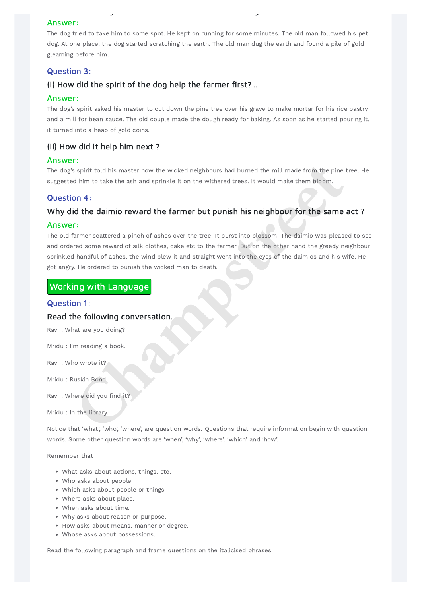g g

#### Answer:

The dog tried to take him to some spot. He kept on running for some minutes. The old man followed his pet dog. At one place, the dog started scratching the earth. The old man dug the earth and found a pile of gold gleaming before him.

# Question 3:

# (i) How did the spirit of the dog help the farmer first? ..

#### Answer:

The dog's spirit asked his master to cut down the pine tree over his grave to make mortar for his rice pastry and a mill for bean sauce. The old couple made the dough ready for baking. As soon as he started pouring it, it turned into a heap of gold coins.

The old farmer scattered a pinch of ashes over the tree. It burst into blossom. The daimio was pleased to see and ordered some reward of silk clothes, cake etc to the farmer. But on the other hand the greedy neighbour sprinkled handful of ashes, the wind blew it and straight went into the eyes of the daimios and his wife. He got angry. He ordered to punish the wicked man to death. **Champs the state of the state of the state of the state of the state of the state of the state of the state of the state of the state of the state of the state of the state of the state of the state of the state of the st** 

# (ii) How did it help him next ?

#### Answer:

The dog's spirit told his master how the wicked neighbours had burned the mill made from the pine tree. He suggested him to take the ash and sprinkle it on the withered trees. It would make them bloom.

# Question 4:

## Why did the daimio reward the farmer but punish his neighbour for the same act ?

#### Answer:

# Working with Language

#### Question 1:

### Read the following conversation.

Ravi : What are you doing?

Mridu : I'm reading a book.

Ravi : Who wrote it?

Mridu : Ruskin Bond.

Ravi : Where did you find it?

Mridu : In the library.

Notice that 'what', 'who', 'where', are question words. Questions that require information begin with question words. Some other question words are 'when', 'why', 'where', 'which' and 'how'.

#### Remember that

- What asks about actions, things, etc.
- Who asks about people.
- Which asks about people or things.
- Where asks about place.
- When asks about time.
- Why asks about reason or purpose.
- How asks about means, manner or degree.
- Whose asks about possessions.

Read the following paragraph and frame questions on the italicised phrases.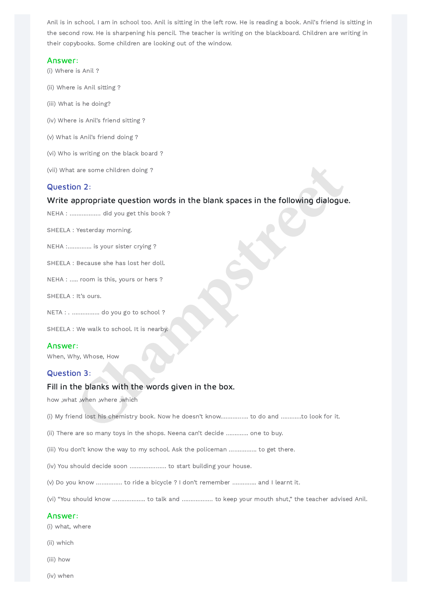Anil is in school. I am in school too. Anil is sitting in the left row. He is reading a book. Anil's friend is sitting in the second row. He is sharpening his pencil. The teacher is writing on the blackboard. Children are writing in their copybooks. Some children are looking out of the window.

# Write appropriate question words in the blank spaces in the following dialogue. the some children doing?<br> **Chappropriate question words in the blank spaces in the following dialogue**<br> **Champs:**<br>
Character coving:<br>
Change of the system of the system of the system of the system of the system of the sys

#### Answer:

- (i) Where is Anil ?
- (ii) Where is Anil sitting ?
- (iii) What is he doing?
- (iv) Where is Anil's friend sitting ?
- (v) What is Anil's friend doing ?
- (vi) Who is writing on the black board ?
- (vii) What are some children doing ?

### Question 2:

NEHA : ……………… did you get this book ?

SHEELA : Yesterday morning.

NEHA :………….. is your sister crying ?

SHEELA : Because she has lost her doll.

NEHA : ….. room is this, yours or hers ?

SHEELA : It's ours.

NETA : . ……………. do you go to school ?

SHEELA : We walk to school. It is nearby.

#### Answer:

When, Why, Whose, How

#### Question 3:

# Fill in the blanks with the words given in the box.

how ,what ,when ,where ,which

(i) My friend lost his chemistry book. Now he doesn't know……………. to do and …………to look for it.

(ii) There are so many toys in the shops. Neena can't decide …………. one to buy.

(iii) You don't know the way to my school. Ask the policeman ……………. to get there.

(iv) You should decide soon ………………… to start building your house.

(v) Do you know …………… to ride a bicycle ? I don't remember ………….. and I learnt it.

(vi) "You should know ………………. to talk and ……………… to keep your mouth shut," the teacher advised Anil.

#### Answer:

(i) what, where

(ii) which

(iii) how

(iv) when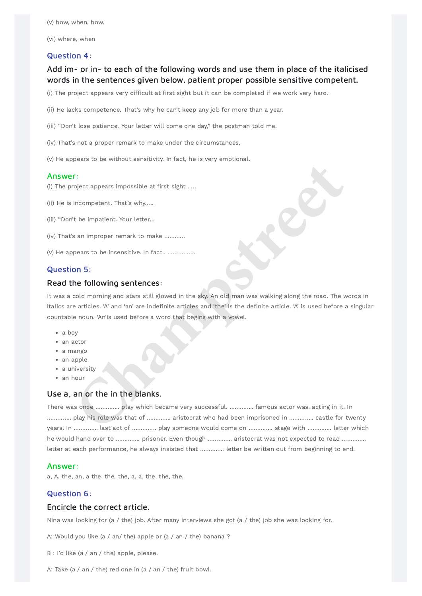(v) how, when, how.

(vi) where, when

# Question 4:

# Add im- or in- to each of the following words and use them in place of the italicised words in the sentences given below. patient proper possible sensitive competent.

(i) The project appears very difficult at first sight but it can be completed if we work very hard.

(ii) He lacks competence. That's why he can't keep any job for more than a year.

(iii) "Don't lose patience. Your letter will come one day," the postman told me.

It was a cold morning and stars still glowed in the sky. An old man was walking along the road. The words in italics are articles. 'A' and 'an' are indefinite articles and 'the' is the definite article. 'A' is used before a singular countable noun. 'An'is used before a word that begins with a vowel. **Champion**<br> **Character Character School and School and School and School and School and School and School and School and School and School and School and School and School and School and School and School and School and Sc** 

- a boy
- an actor
- a mango
- an apple
- a university
- an hour

(iv) That's not a proper remark to make under the circumstances.

(v) He appears to be without sensitivity. In fact, he is very emotional.

#### Answer:

(i) The project appears impossible at first sight …..

- (ii) He is incompetent. That's why…..
- (iii) "Don't be impatient. Your letter…
- (iv) That's an improper remark to make …………
- (v) He appears to be insensitive. In fact.. …………….

### Question 5:

#### Read the following sentences:

# Use a, an or the in the blanks.

There was once ………….. play which became very successful. ………….. famous actor was. acting in it. In ………….. play his role was that of ………….. aristocrat who had been imprisoned in ………….. castle for twenty years. In ………….. last act of ………….. play someone would come on ………….. stage with ………….. letter which he would hand over to ………….. prisoner. Even though ………….. aristocrat was not expected to read ………….. letter at each performance, he always insisted that ………….. letter be written out from beginning to end.

#### Answer:

a, A, the, an, a the, the, the, a, a, the, the, the.

## Question 6:

# Encircle the correct article.

Nina was looking for (a / the) job. After many interviews she got (a / the) job she was looking for.

A: Would you like (a / an/ the) apple or (a / an / the) banana ?

B : I'd like (a / an / the) apple, please.

A: Take (a / an / the) red one in (a / an / the) fruit bowl.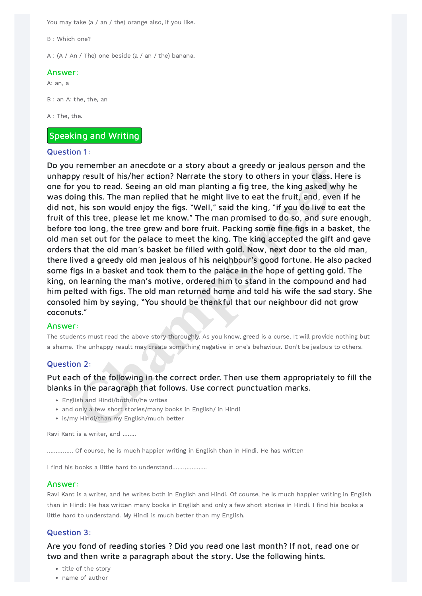You may take (a / an / the) orange also, if you like.

B : Which one?

A : (A / An / The) one beside (a / an / the) banana.

Do you remember an anecdote or a story about a greedy or jealous person and the unhappy result of his/her action? Narrate the story to others in your class. Here is one for you to read. Seeing an old man planting a fig tree, the king asked why he was doing this. The man replied that he might live to eat the fruit, and, even if he did not, his son would enjoy the figs. "Well," said the king, "if you do live to eat the fruit of this tree, please let me know." The man promised to do so, and sure enough, before too long, the tree grew and bore fruit. Packing some fine figs in a basket, the old man set out for the palace to meet the king. The king accepted the gift and gave orders that the old man's basket be filled with gold. Now, next door to the old man, there lived a greedy old man jealous of his neighbour's good fortune. He also packed some figs in a basket and took them to the palace in the hope of getting gold. The king, on learning the man's motive, ordered him to stand in the compound and had him pelted with figs. The old man returned home and told his wife the sad story. She consoled him by saying, "You should be thankful that our neighbour did not grow coconuts." **In the mass of the mass of the mass of the state of the state of the state of the state of this (her action? Narrate the staty to others in your das. Hen you to read. Seeing an old man planting a fig tree, the king asked** 

#### Answer:

A: an, a

B : an A: the, the, an

A : The, the.

# Speaking and Writing

### Question 1:

- English and Hindi/both/in/he writes
- and only a few short stories/many books in English/ in Hindi
- is/my Hindi/than my English/much better

- title of the story
- name of author

#### Answer:

The students must read the above story thoroughly. As you know, greed is a curse. It will provide nothing but a shame. The unhappy result may create something negative in one's behaviour. Don't be jealous to others.

# Question 2:

# Put each of the following in the correct order. Then use them appropriately to fill the blanks in the paragraph that follows. Use correct punctuation marks.

Ravi Kant is a writer, and ……..

…………… Of course, he is much happier writing in English than in Hindi. He has written

I find his books a little hard to understand………………..

#### Answer:

Ravi Kant is a writer, and he writes both in English and Hindi. Of course, he is much happier writing in English than in Hindi: He has written many books in English and only a few short stories in Hindi. I find his books a little hard to understand. My Hindi is much better than my English.

### Question 3:

Are you fond of reading stories ? Did you read one last month? If not, read one or two and then write a paragraph about the story. Use the following hints.